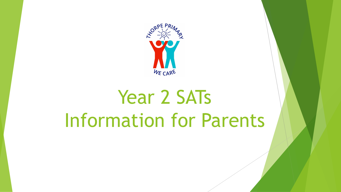

# Year 2 SATs Information for Parents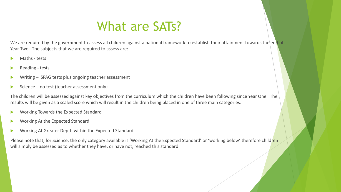#### What are SATs?

We are required by the government to assess all children against a national framework to establish their attainment towards the end of Year Two. The subjects that we are required to assess are:

- Maths tests
- Reading tests
- Writing SPAG tests plus ongoing teacher assessment
- Science no test (teacher assessment only)

The children will be assessed against key objectives from the curriculum which the children have been following since Year One. The results will be given as a scaled score which will result in the children being placed in one of three main categories:

- Working Towards the Expected Standard
- Working At the Expected Standard
- Working At Greater Depth within the Expected Standard

Please note that, for Science, the only category available is 'Working At the Expected Standard' or 'working below' therefore children will simply be assessed as to whether they have, or have not, reached this standard.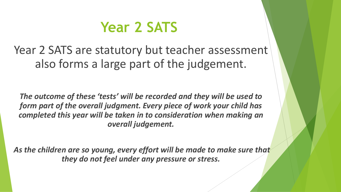# **Year 2 SATS**

Year 2 SATS are statutory but teacher assessment also forms a large part of the judgement.

*The outcome of these 'tests' will be recorded and they will be used to form part of the overall judgment. Every piece of work your child has completed this year will be taken in to consideration when making an overall judgement.*

*As the children are so young, every effort will be made to make sure that they do not feel under any pressure or stress.*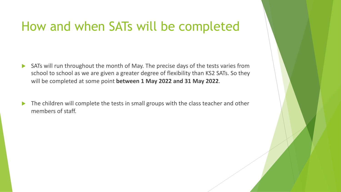#### How and when SATs will be completed

- $\triangleright$  SATs will run throughout the month of May. The precise days of the tests varies from school to school as we are given a greater degree of flexibility than KS2 SATs. So they will be completed at some point **between 1 May 2022 and 31 May 2022**.
- The children will complete the tests in small groups with the class teacher and other members of staff.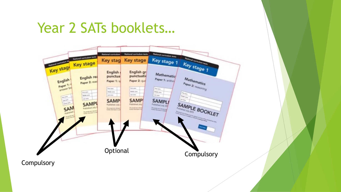## Year 2 SATs booklets…

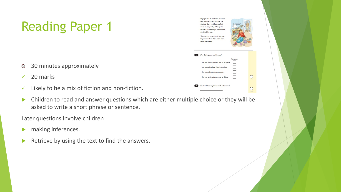# Reading Paper 1

- 30 minutes approximately  $\odot$
- $\checkmark$  20 marks
- $\checkmark$  Likely to be a mix of fiction and non-fiction.
- $\blacktriangleright$  Children to read and answer questions which are either multiple choice or they will be asked to write a short phrase or sentence.

Later questions involve children

- $\blacktriangleright$  making inferences.
- Retrieve by using the text to find the answers.

| Brun got out all his trucks and cars                                      |  |
|---------------------------------------------------------------------------|--|
| and arranged them in a line. He                                           |  |
| decided Clare could choose first                                          |  |
| which to play with, although he                                           |  |
| couldn't help hoping it wouldn't be                                       |  |
| the big, blue one.                                                        |  |
| "I'm glad to see you're tidying up,                                       |  |
| Bryn," said Dad. "Your room looks                                         |  |
| much better now."                                                         |  |
|                                                                           |  |
|                                                                           |  |
| Tick one.<br>He was deciding which one to play with.                      |  |
| He wanted to hide them from Clare.                                        |  |
| He wanted to tidy them away.                                              |  |
| He was getting them ready for Clare.                                      |  |
| Why did Bryn get out his toys?<br>What did Dad say looks much better now? |  |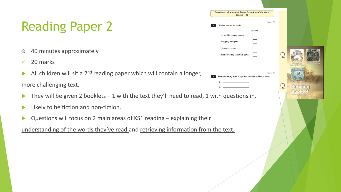# Reading Paper 2

- 40 minutes approximately  $\odot$
- $\sqrt{20}$  marks
- All children will sit a  $2^{nd}$  reading paper which will contain a longer, more challenging text.
- They will be given 2 booklets 1 with the text they'll need to read, 1 with q
- $\blacktriangleright$  Likely to be fiction and non-fiction.
- Questions will focus on 2 main areas of KS1 reading explaining their

understanding of the words they've read and retrieving information from the to

| uestions 1-7 are about Games From Around the World<br>$(pages 4-6)$ |          |                    |                      |  |
|---------------------------------------------------------------------|----------|--------------------|----------------------|--|
| Children around the world                                           | (page 4) |                    |                      |  |
| Tick one.<br>do not like playing games.                             |          |                    |                      |  |
| only play one game.                                                 |          |                    |                      |  |
| play many games.<br>must have very expensive games.                 |          |                    |                      |  |
|                                                                     |          |                    | <b>Big This West</b> |  |
| Find and copy two things that could be hidden in Pilolo.            | (page 4) |                    |                      |  |
| 1.<br>2.                                                            |          | $\frac{1}{1}$ mark | Reading              |  |
| th questions in.                                                    |          |                    | Bookl                |  |
|                                                                     |          |                    |                      |  |
|                                                                     |          |                    |                      |  |
| ne text.                                                            |          |                    |                      |  |
|                                                                     |          |                    |                      |  |
|                                                                     |          |                    |                      |  |
|                                                                     |          |                    |                      |  |
|                                                                     |          |                    |                      |  |

Questions

 $\sqrt{2}$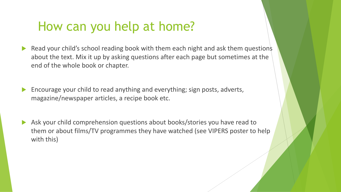#### How can you help at home?

- Read your child's school reading book with them each night and ask them questions about the text. Mix it up by asking questions after each page but sometimes at the end of the whole book or chapter.
- Encourage your child to read anything and everything; sign posts, adverts, magazine/newspaper articles, a recipe book etc.
- Ask your child comprehension questions about books/stories you have read to them or about films/TV programmes they have watched (see VIPERS poster to help with this)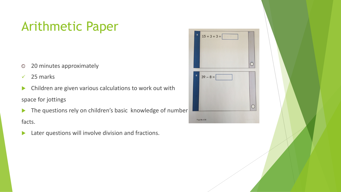## Arithmetic Paper

- 20 minutes approximately  $\odot$
- $\checkmark$  25 marks
- $\blacktriangleright$  Children are given various calculations to work out with space for jottings
- $\blacktriangleright$  The questions rely on children's basic knowledge of number facts.
- $\blacktriangleright$  Later questions will involve division and fractions.

| 5 | $15 + 3 + 3 =$ |  |
|---|----------------|--|
|   |                |  |
| 6 | $39 - 8 =$     |  |
|   |                |  |
|   | Page 06 of 20  |  |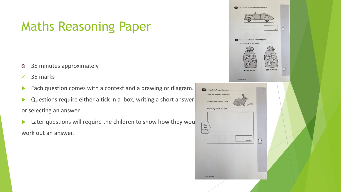## Maths Reasoning Paper

- 35 minutes approximately  $\odot$
- $\checkmark$  35 marks
- Each question comes with a context and a drawing or diagram.
- $\triangleright$  Questions require either a tick in a box, writing a short answer or selecting an answer.
- $\blacktriangleright$  Later questions will require the children to show how they would work out an answer.

| (11) Use a ruler to measure the length of the toy car.<br>$\bigcap$<br>cm<br>Two of the numbers are in the wrong bag.<br>Draw a cross $(X)$ on each of them.<br>19<br>70<br>30<br>5<br>68<br>odd numbers<br>even numbers<br>Page 10 of 28 |  |
|-------------------------------------------------------------------------------------------------------------------------------------------------------------------------------------------------------------------------------------------|--|
| 22<br>Amy plants 4 rows of carrots.<br>There are 3 carrots in each row.<br>A rabbit eats 2 of the carrots.<br>How many carrots are left?<br>Show<br>your<br>working                                                                       |  |
| $\bigcirc_{2 \text{ marks}}$<br>carrots<br>Page 18 of 28                                                                                                                                                                                  |  |
|                                                                                                                                                                                                                                           |  |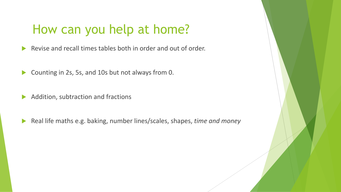#### How can you help at home?

- $\blacktriangleright$  Revise and recall times tables both in order and out of order.
- $\triangleright$  Counting in 2s, 5s, and 10s but not always from 0.
- $\blacktriangleright$  Addition, subtraction and fractions
- ▶ Real life maths e.g. baking, number lines/scales, shapes, *time and money*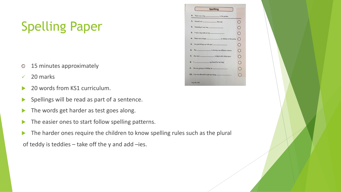# Spelling Paper

- 15 minutes approximately  $\odot$
- $\sqrt{20}$  marks
- 20 words from KS1 curriculum.
- $\blacktriangleright$  Spellings will be read as part of a sentence.
- The words get harder as test goes along.
- $\blacktriangleright$  The easier ones to start follow spelling patterns.
- The harder ones require the children to know spelling rules such as the plural

of teddy is teddies  $-$  take off the y and add  $-$ ies.

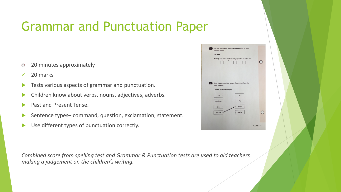## Grammar and Punctuation Paper

- 20 minutes approximately  $\odot$
- 20 marks
- Tests various aspects of grammar and punctuation.
- Children know about verbs, nouns, adjectives, adverbs.
- Past and Present Tense.
- Sentence types– command, question, exclamation, statement.
- Use different types of punctuation correctly.

| 3      | Tick one box to show where a comma should go in the<br>sentence below. |               |  |
|--------|------------------------------------------------------------------------|---------------|--|
|        | Tick one.                                                              |               |  |
|        | Aisha found some red blue and purple beads in the box.                 |               |  |
|        |                                                                        |               |  |
| $\sim$ | Draw lines to match the groups of words that have the<br>same meaning. |               |  |
|        | One has been done for you.                                             |               |  |
|        | iťs<br>I will                                                          |               |  |
|        | <b>ru</b><br>you have                                                  |               |  |
|        | didn't<br>it is                                                        |               |  |
|        | you've<br>did not                                                      |               |  |
|        |                                                                        |               |  |
|        |                                                                        | Page 05 of 16 |  |

*Combined score from spelling test and Grammar & Punctuation tests are used to aid teachers making a judgement on the children's writing.*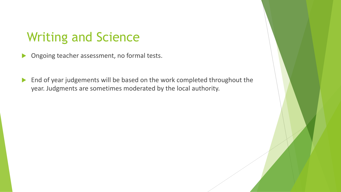#### Writing and Science

- $\triangleright$  Ongoing teacher assessment, no formal tests.
- $\blacktriangleright$  End of year judgements will be based on the work completed throughout the year. Judgments are sometimes moderated by the local authority.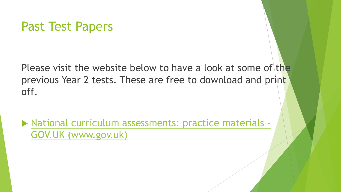#### [Past Test Papers](https://www.gov.uk/government/collections/national-curriculum-assessments-practice-materials)

Please visit the website below to have a loo previous Year 2 tests. These are free to dow off.

 $\blacktriangleright$  National curriculum assessments: practice GOV.UK (www.gov.uk)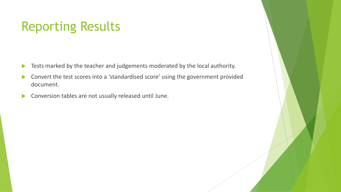#### Reporting Results

- $\blacktriangleright$  Tests marked by the teacher and judgements moderated by the local authority.
- Convert the test scores into a 'standardised score' using the government provided document.
- $\blacktriangleright$  Conversion tables are not usually released until June.